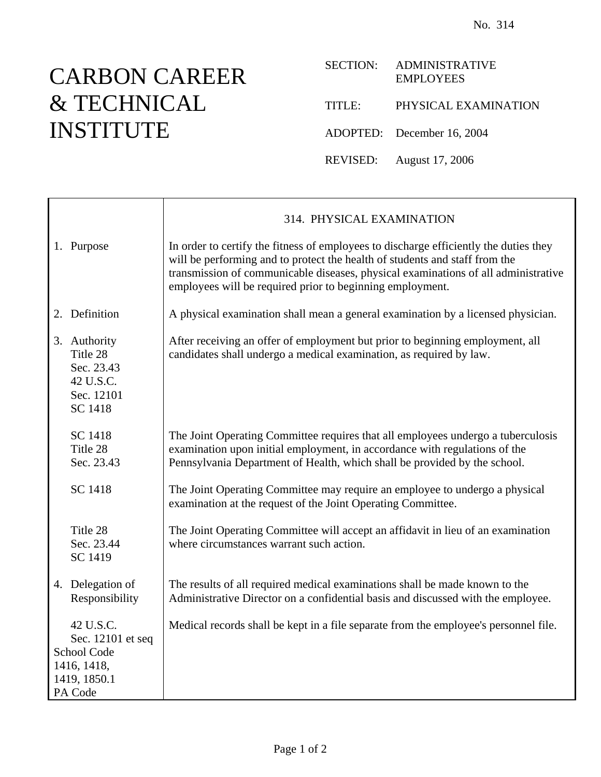## CARBON CAREER & TECHNICAL INSTITUTE

| <b>SECTION:</b> | <b>ADMINISTRATIVE</b><br><b>EMPLOYEES</b> |
|-----------------|-------------------------------------------|
| TITLE:          | PHYSICAL EXAMINATION                      |
|                 | ADOPTED: December 16, 2004                |
|                 | REVISED: August 17, 2006                  |

|                                                                                         | 314. PHYSICAL EXAMINATION                                                                                                                                                                                                                                                                                               |
|-----------------------------------------------------------------------------------------|-------------------------------------------------------------------------------------------------------------------------------------------------------------------------------------------------------------------------------------------------------------------------------------------------------------------------|
| 1. Purpose                                                                              | In order to certify the fitness of employees to discharge efficiently the duties they<br>will be performing and to protect the health of students and staff from the<br>transmission of communicable diseases, physical examinations of all administrative<br>employees will be required prior to beginning employment. |
| 2. Definition                                                                           | A physical examination shall mean a general examination by a licensed physician.                                                                                                                                                                                                                                        |
| 3. Authority<br>Title 28<br>Sec. 23.43<br>42 U.S.C.<br>Sec. 12101<br>SC 1418            | After receiving an offer of employment but prior to beginning employment, all<br>candidates shall undergo a medical examination, as required by law.                                                                                                                                                                    |
| SC 1418<br>Title 28<br>Sec. 23.43                                                       | The Joint Operating Committee requires that all employees undergo a tuberculosis<br>examination upon initial employment, in accordance with regulations of the<br>Pennsylvania Department of Health, which shall be provided by the school.                                                                             |
| SC 1418                                                                                 | The Joint Operating Committee may require an employee to undergo a physical<br>examination at the request of the Joint Operating Committee.                                                                                                                                                                             |
| Title 28<br>Sec. 23.44<br>SC 1419                                                       | The Joint Operating Committee will accept an affidavit in lieu of an examination<br>where circumstances warrant such action.                                                                                                                                                                                            |
| 4. Delegation of<br>Responsibility                                                      | The results of all required medical examinations shall be made known to the<br>Administrative Director on a confidential basis and discussed with the employee.                                                                                                                                                         |
| 42 U.S.C.<br>Sec. 12101 et seq<br>School Code<br>1416, 1418,<br>1419, 1850.1<br>PA Code | Medical records shall be kept in a file separate from the employee's personnel file.                                                                                                                                                                                                                                    |